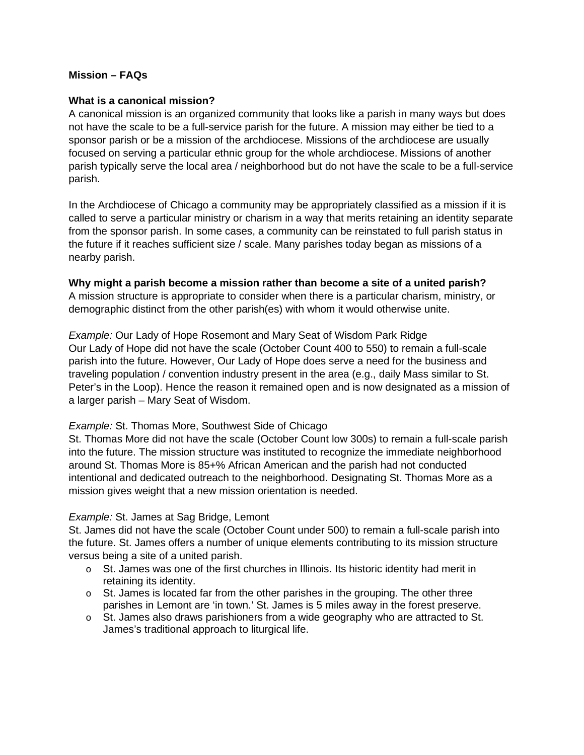# **Mission – FAQs**

#### **What is a canonical mission?**

A canonical mission is an organized community that looks like a parish in many ways but does not have the scale to be a full-service parish for the future. A mission may either be tied to a sponsor parish or be a mission of the archdiocese. Missions of the archdiocese are usually focused on serving a particular ethnic group for the whole archdiocese. Missions of another parish typically serve the local area / neighborhood but do not have the scale to be a full-service parish.

In the Archdiocese of Chicago a community may be appropriately classified as a mission if it is called to serve a particular ministry or charism in a way that merits retaining an identity separate from the sponsor parish. In some cases, a community can be reinstated to full parish status in the future if it reaches sufficient size / scale. Many parishes today began as missions of a nearby parish.

#### **Why might a parish become a mission rather than become a site of a united parish?**

A mission structure is appropriate to consider when there is a particular charism, ministry, or demographic distinct from the other parish(es) with whom it would otherwise unite.

*Example:* Our Lady of Hope Rosemont and Mary Seat of Wisdom Park Ridge Our Lady of Hope did not have the scale (October Count 400 to 550) to remain a full-scale parish into the future. However, Our Lady of Hope does serve a need for the business and traveling population / convention industry present in the area (e.g., daily Mass similar to St. Peter's in the Loop). Hence the reason it remained open and is now designated as a mission of a larger parish – Mary Seat of Wisdom.

## *Example:* St. Thomas More, Southwest Side of Chicago

St. Thomas More did not have the scale (October Count low 300s) to remain a full-scale parish into the future. The mission structure was instituted to recognize the immediate neighborhood around St. Thomas More is 85+% African American and the parish had not conducted intentional and dedicated outreach to the neighborhood. Designating St. Thomas More as a mission gives weight that a new mission orientation is needed.

## *Example:* St. James at Sag Bridge, Lemont

St. James did not have the scale (October Count under 500) to remain a full-scale parish into the future. St. James offers a number of unique elements contributing to its mission structure versus being a site of a united parish.

- $\circ$  St. James was one of the first churches in Illinois. Its historic identity had merit in retaining its identity.
- $\circ$  St. James is located far from the other parishes in the grouping. The other three parishes in Lemont are 'in town.' St. James is 5 miles away in the forest preserve.
- o St. James also draws parishioners from a wide geography who are attracted to St. James's traditional approach to liturgical life.